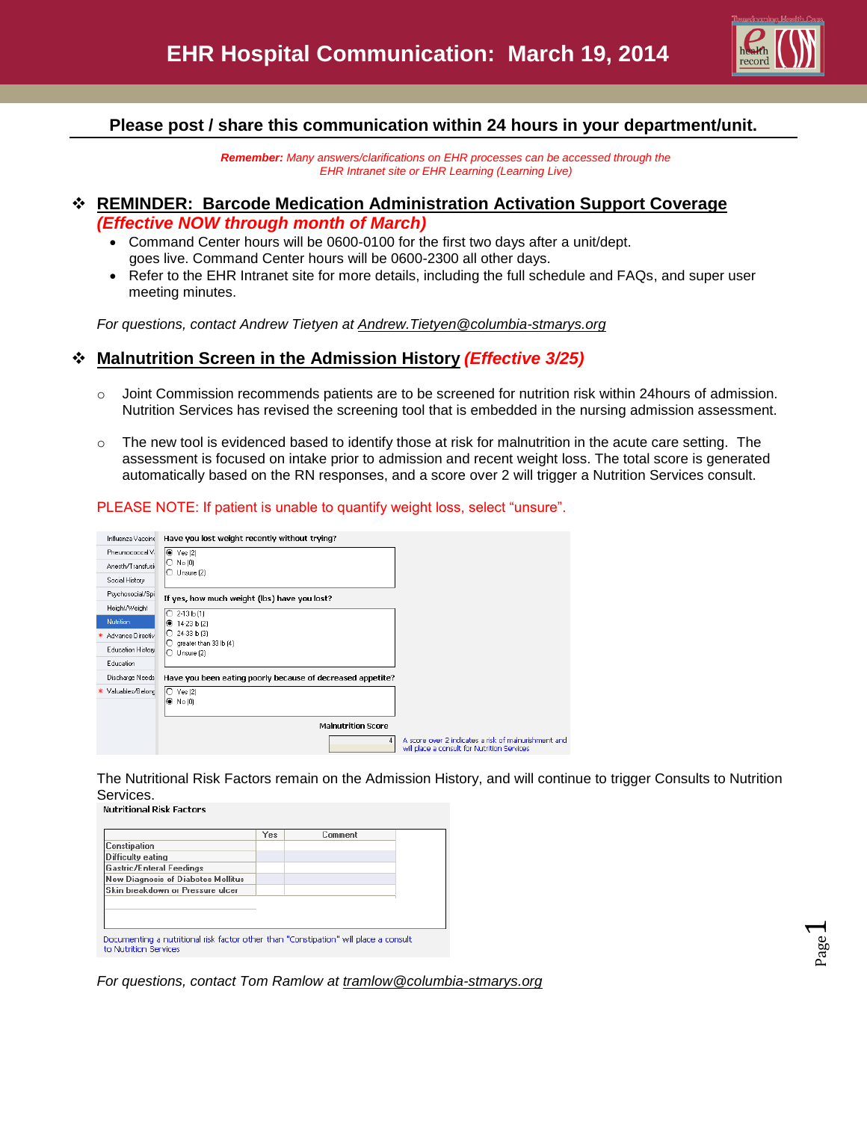

Page  $\overline{\phantom{0}}$ 

## **Please post / share this communication within 24 hours in your department/unit.**

*Remember: Many answers/clarifications on EHR processes can be accessed through the EHR Intranet site or EHR Learning (Learning Live)*

# **REMINDER: Barcode Medication Administration Activation Support Coverage** *(Effective NOW through month of March)*

- Command Center hours will be 0600-0100 for the first two days after a unit/dept. goes live. Command Center hours will be 0600-2300 all other days.
- Refer to the EHR Intranet site for more details, including the full schedule and FAQs, and super user meeting minutes.

*For questions, contact Andrew Tietyen at [Andrew.Tietyen@columbia-stmarys.org](mailto:Andrew.Tietyen@columbia-stmarys.org)*

## **Malnutrition Screen in the Admission History** *(Effective 3/25)*

- o Joint Commission recommends patients are to be screened for nutrition risk within 24hours of admission. Nutrition Services has revised the screening tool that is embedded in the nursing admission assessment.
- o The new tool is evidenced based to identify those at risk for malnutrition in the acute care setting. The assessment is focused on intake prior to admission and recent weight loss. The total score is generated automatically based on the RN responses, and a score over 2 will trigger a Nutrition Services consult.

#### PLEASE NOTE: If patient is unable to quantify weight loss, select "unsure".

| Influenza Vaccine  | Have you lost weight recently without trying?                                                            |
|--------------------|----------------------------------------------------------------------------------------------------------|
| Pneumococcal V.    | $\bullet$ Yes (2)                                                                                        |
| Anesth/Transfusio  | No (0)<br>O<br>$\bigcirc$ Unsure (2)                                                                     |
| Social History     |                                                                                                          |
| Psychosocial/Spi   | If yes, how much weight (lbs) have you lost?                                                             |
| Height/Weight      | O<br>$2-13$ b $[1]$                                                                                      |
| Nutrition          | 14-23 lb (2)<br>◉                                                                                        |
| Advance Directiv   | ∩<br>24-33 lb [3]                                                                                        |
| Education History  | greater than 33 lb [4]<br>O<br>Unsure [2]                                                                |
| Education          |                                                                                                          |
| Discharge Needs    | Have you been eating poorly because of decreased appetite?                                               |
| * Valuables/Belonc | $\circ$ Yes (2)<br>$\odot$ No [0]                                                                        |
|                    | <b>Malnutrition Score</b>                                                                                |
|                    | A score over 2 indicates a risk of malnurishment and<br>4<br>will place a consult for Nutrition Services |

The Nutritional Risk Factors remain on the Admission History, and will continue to trigger Consults to Nutrition Services.<br>Nutritional Risk Factors

| <b>Constipation</b><br>Difficulty eating<br> Gastric/Enteral Feedings |
|-----------------------------------------------------------------------|
|                                                                       |
|                                                                       |
|                                                                       |
| New Diagnosis of Diabetes Mellitus                                    |
| lSkin breakdown or Pressure ulcer                                     |

*For questions, contact Tom Ramlow at tramlow@columbia-stmarys.org*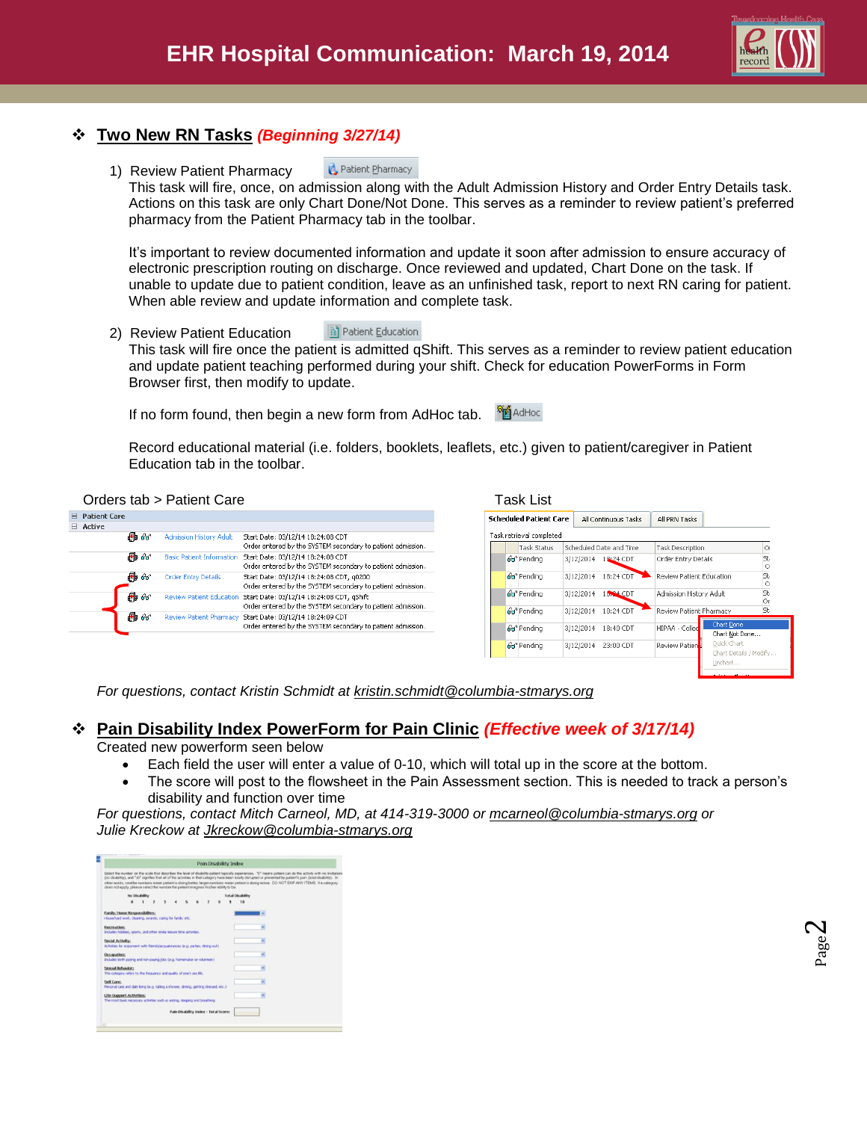

# **Two New RN Tasks** *(Beginning 3/27/14)*

Patient Pharmacy 1) Review Patient Pharmacy

This task will fire, once, on admission along with the Adult Admission History and Order Entry Details task. Actions on this task are only Chart Done/Not Done. This serves as a reminder to review patient's preferred pharmacy from the Patient Pharmacy tab in the toolbar.

It's important to review documented information and update it soon after admission to ensure accuracy of electronic prescription routing on discharge. Once reviewed and updated, Chart Done on the task. If unable to update due to patient condition, leave as an unfinished task, report to next RN caring for patient. When able review and update information and complete task.

2) Review Patient Education Patient Education This task will fire once the patient is admitted qShift. This serves as a reminder to review patient education and update patient teaching performed during your shift. Check for education PowerForms in Form Browser first, then modify to update.

If no form found, then begin a new form from AdHoc tab. <sup>88</sup> AdHoc

Record educational material (i.e. folders, booklets, leaflets, etc.) given to patient/caregiver in Patient Education tab in the toolbar.

#### Orders tab > Patient Care

|   | <b>Patient Care</b> |        |                                  |                                                                                                          |
|---|---------------------|--------|----------------------------------|----------------------------------------------------------------------------------------------------------|
| ⊢ | Active              |        |                                  |                                                                                                          |
|   |                     | A 66   | <b>Admission History Adult</b>   | Start Date: 03/12/14 18:24:08 CDT<br>Order entered by the SYSTEM secondary to patient admission.         |
|   |                     | Ha 66° | <b>Basic Patient Information</b> | Start Date: 03/12/14 18:24:08 CDT<br>Order entered by the SYSTEM secondary to patient admission.         |
|   |                     | 晶命     | Order Entry Details              | Start Date: 03/12/14 18:24:08 CDT, g0200<br>Order entered by the SYSTEM secondary to patient admission.  |
|   |                     | An 66  | Review Patient Education         | Start Date: 03/12/14 18:24:08 CDT, qShift<br>Order entered by the SYSTEM secondary to patient admission. |
|   |                     | HD 66  | <b>Review Patient Pharmacy</b>   | Start Date: 03/12/14 18:24:09 CDT<br>Order entered by the SYSTEM secondary to patient admission.         |

|                          | <b>Scheduled Patient Care</b> | All Continuous Tasks | All PRN Tasks                        |                                       |                                                                                                                                         |  |
|--------------------------|-------------------------------|----------------------|--------------------------------------|---------------------------------------|-----------------------------------------------------------------------------------------------------------------------------------------|--|
| Task retrieval completed |                               |                      |                                      |                                       |                                                                                                                                         |  |
| Task Status              |                               |                      |                                      |                                       | Ōı                                                                                                                                      |  |
| Ga <sup>n</sup> Pendina  |                               | 18:24 CDT            |                                      |                                       | St.<br>$\circ$                                                                                                                          |  |
| 66 <sup>o</sup> Pending  | 3/12/2014                     | 18:24 CDT            |                                      |                                       | St.<br>$\circ$                                                                                                                          |  |
| Go <sup>o</sup> Pending  | 3/12/2014                     | 18,84 CDT            |                                      |                                       | St.<br>Or                                                                                                                               |  |
| 66 <sup>ª</sup> Pending  | 3/12/2014                     | 18:24 CDT            |                                      |                                       | St.                                                                                                                                     |  |
| 66 <sup>o</sup> Pending  | 3/12/2014                     | 18:40 CDT            | HIPAA - Colled                       | Chart Not Done                        |                                                                                                                                         |  |
| Go <sup>o</sup> Pending  | 3/12/2014                     | 23:00 CDT            | <b>Review Patien</b>                 | Quick Chart<br>Chart Details / Modify |                                                                                                                                         |  |
|                          |                               |                      | Scheduled Date and Time<br>3/12/2014 |                                       | Task Description<br>Order Entry Details<br>Review Patient Education<br>Admission History Adult<br>Review Patient Pharmacy<br>Chart Done |  |

*For questions, contact Kristin Schmidt at kristin.schmidt@columbia-stmarys.org*

## **Pain Disability Index PowerForm for Pain Clinic** *(Effective week of 3/17/14)*

Created new powerform seen below

- Each field the user will enter a value of 0-10, which will total up in the score at the bottom.
- The score will post to the flowsheet in the Pain Assessment section. This is needed to track a person's disability and function over time

*For questions, contact Mitch Carneol, MD, at 414-319-3000 or [mcarneol@columbia-stmarys.org](mailto:mcarneol@columbia-stmarys.org) or Julie Kreckow at [Jkreckow@columbia-stmarys.org](mailto:Jkreckow@columbia-stmarys.org)*

|                                                                                                         |               |   |  |  |  | Pain Disability Index |                         |                                                                                                                                                                                                                                                                                                                                                                                                                                                                                   |
|---------------------------------------------------------------------------------------------------------|---------------|---|--|--|--|-----------------------|-------------------------|-----------------------------------------------------------------------------------------------------------------------------------------------------------------------------------------------------------------------------------------------------------------------------------------------------------------------------------------------------------------------------------------------------------------------------------------------------------------------------------|
| does not apply, please select the number the patient imagines his/har ability to be.                    |               |   |  |  |  |                       |                         | Select the number on the scale that describes the level of disability patient typically experiences. "O" means patient can do the activity with no limitations<br>(no disability), and "10" signifies that all of the activities in that category have been totally disrupted or prevented by patient's pain (total disability). In<br>other words, smaller sumbers mean patient is doing better, larger sumbers mean patient is doing worse. DO NOT SKP ANY ITEMS. It a category |
|                                                                                                         | No Disability |   |  |  |  |                       | <b>Total Disability</b> |                                                                                                                                                                                                                                                                                                                                                                                                                                                                                   |
|                                                                                                         |               | ž |  |  |  |                       | 10                      |                                                                                                                                                                                                                                                                                                                                                                                                                                                                                   |
| Family/Home Responsibilites:<br>House/vard work, clearery, emands, caring for family, etc.              |               |   |  |  |  |                       |                         |                                                                                                                                                                                                                                                                                                                                                                                                                                                                                   |
| Recreation:<br>Includes hobbes, sports, and other smile lesses time activities.                         |               |   |  |  |  |                       |                         |                                                                                                                                                                                                                                                                                                                                                                                                                                                                                   |
| Social Activity:<br>Activities for enjoyment with frendulacquantances (e.g. parties, direng out).       |               |   |  |  |  |                       |                         |                                                                                                                                                                                                                                                                                                                                                                                                                                                                                   |
| Occupation:<br>Includes both paving and non-paving jobs (e.g. homomater or volunteer)                   |               |   |  |  |  |                       |                         |                                                                                                                                                                                                                                                                                                                                                                                                                                                                                   |
| Sepsaal Behavior:<br>This category refers to the findures's and quality of cran's sex life.             |               |   |  |  |  |                       |                         |                                                                                                                                                                                                                                                                                                                                                                                                                                                                                   |
| Self Care:<br>Personal care and daly living (in g. taking a shower, driving, getting dressed, etc.)     |               |   |  |  |  |                       |                         |                                                                                                                                                                                                                                                                                                                                                                                                                                                                                   |
| Life-Support Activities:<br>The most basic necessary activities such as eating, sleeping and breathing. |               |   |  |  |  |                       |                         |                                                                                                                                                                                                                                                                                                                                                                                                                                                                                   |
|                                                                                                         |               |   |  |  |  |                       |                         |                                                                                                                                                                                                                                                                                                                                                                                                                                                                                   |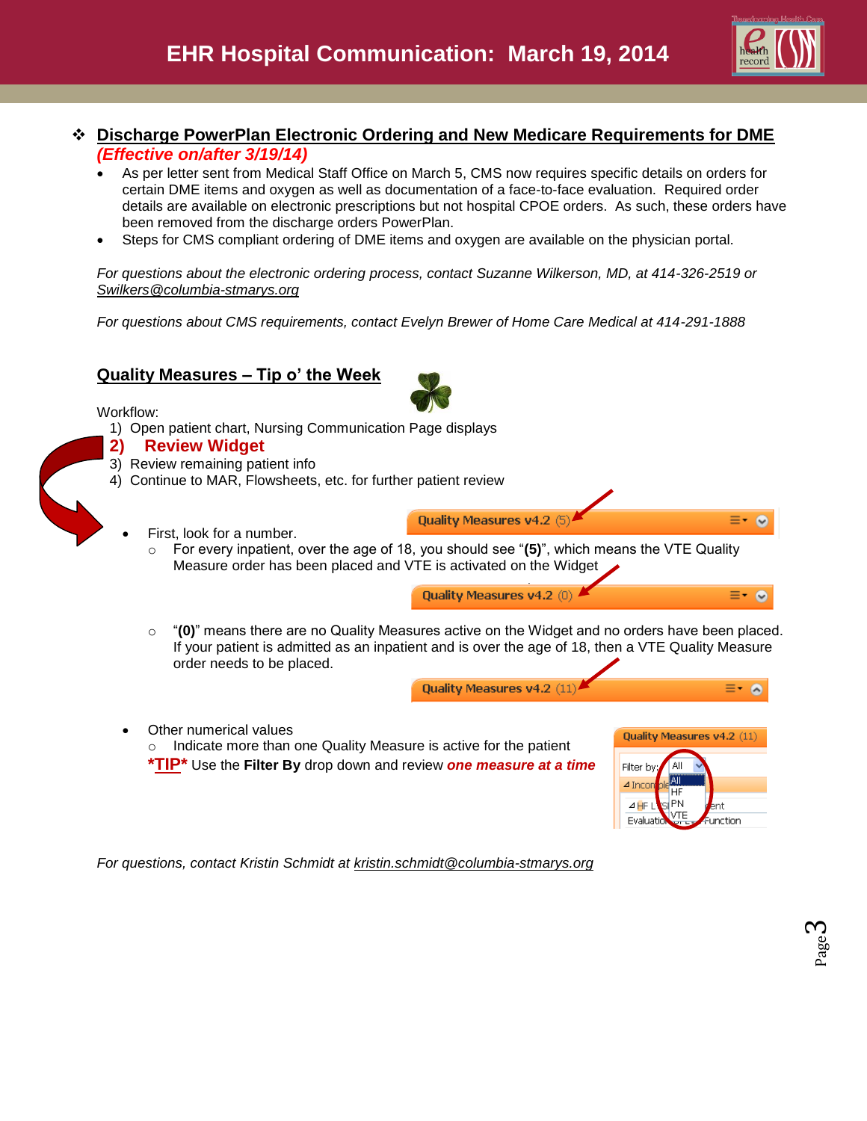

## **Discharge PowerPlan Electronic Ordering and New Medicare Requirements for DME** *(Effective on/after 3/19/14)*

- As per letter sent from Medical Staff Office on March 5, CMS now requires specific details on orders for certain DME items and oxygen as well as documentation of a face-to-face evaluation. Required order details are available on electronic prescriptions but not hospital CPOE orders. As such, these orders have been removed from the discharge orders PowerPlan.
- Steps for CMS compliant ordering of DME items and oxygen are available on the physician portal.

*For questions about the electronic ordering process, contact Suzanne Wilkerson, MD, at 414-326-2519 or [Swilkers@columbia-stmarys.org](mailto:Swilkers@columbia-stmarys.org)*

*For questions about CMS requirements, contact Evelyn Brewer of Home Care Medical at 414-291-1888*

### **Quality Measures – Tip o' the Week**



1) Open patient chart, Nursing Communication Page displays



- 3) Review remaining patient info
- 4) Continue to MAR, Flowsheets, etc. for further patient review
	- First, look for a number.
		- o For every inpatient, over the age of 18, you should see "**(5)**", which means the VTE Quality Measure order has been placed and VTE is activated on the Widget



o "**(0)**" means there are no Quality Measures active on the Widget and no orders have been placed. If your patient is admitted as an inpatient and is over the age of 18, then a VTE Quality Measure order needs to be placed.

Quality Measures v4.2 (5

Quality Measures v4.2 (11)

- Other numerical values
	- Indicate more than one Quality Measure is active for the patient **\*TIP\*** Use the **Filter By** drop down and review *one measure at a time*



≡- ⊗

 $\equiv -\infty$ 

≡∗.  $\sim$ 

*For questions, contact Kristin Schmidt at [kristin.schmidt@columbia-stmarys.org](mailto:kristin.schmidt@columbia-stmarys.org)*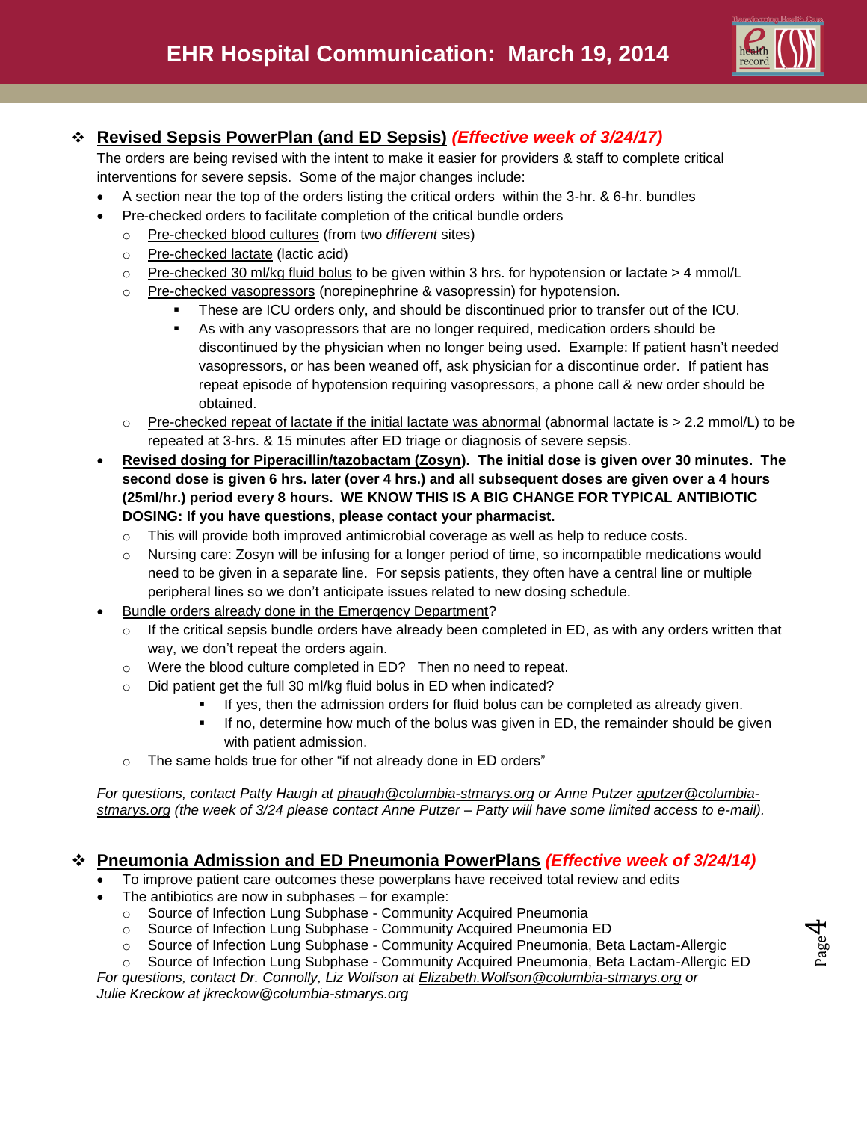

# **Revised Sepsis PowerPlan (and ED Sepsis)** *(Effective week of 3/24/17)*

The orders are being revised with the intent to make it easier for providers & staff to complete critical interventions for severe sepsis. Some of the major changes include:

- A section near the top of the orders listing the critical orders within the 3-hr. & 6-hr. bundles
- Pre-checked orders to facilitate completion of the critical bundle orders
	- o Pre-checked blood cultures (from two *different* sites)
	- o Pre-checked lactate (lactic acid)
	- $\circ$  Pre-checked 30 ml/kg fluid bolus to be given within 3 hrs. for hypotension or lactate > 4 mmol/L
	- $\circ$  Pre-checked vasopressors (norepinephrine & vasopressin) for hypotension.
		- These are ICU orders only, and should be discontinued prior to transfer out of the ICU.
		- As with any vasopressors that are no longer required, medication orders should be discontinued by the physician when no longer being used. Example: If patient hasn't needed vasopressors, or has been weaned off, ask physician for a discontinue order. If patient has repeat episode of hypotension requiring vasopressors, a phone call & new order should be obtained.
	- $\circ$  Pre-checked repeat of lactate if the initial lactate was abnormal (abnormal lactate is  $> 2.2$  mmol/L) to be repeated at 3-hrs. & 15 minutes after ED triage or diagnosis of severe sepsis.
- **Revised dosing for Piperacillin/tazobactam (Zosyn). The initial dose is given over 30 minutes. The second dose is given 6 hrs. later (over 4 hrs.) and all subsequent doses are given over a 4 hours (25ml/hr.) period every 8 hours. WE KNOW THIS IS A BIG CHANGE FOR TYPICAL ANTIBIOTIC DOSING: If you have questions, please contact your pharmacist.**
	- $\circ$  This will provide both improved antimicrobial coverage as well as help to reduce costs.
	- $\circ$  Nursing care: Zosyn will be infusing for a longer period of time, so incompatible medications would need to be given in a separate line. For sepsis patients, they often have a central line or multiple peripheral lines so we don't anticipate issues related to new dosing schedule.
- Bundle orders already done in the Emergency Department?
	- o If the critical sepsis bundle orders have already been completed in ED, as with any orders written that way, we don't repeat the orders again.
	- o Were the blood culture completed in ED? Then no need to repeat.
	- o Did patient get the full 30 ml/kg fluid bolus in ED when indicated?
		- **If yes, then the admission orders for fluid bolus can be completed as already given.**
		- **If no, determine how much of the bolus was given in ED, the remainder should be given** with patient admission.
	- o The same holds true for other "if not already done in ED orders"

*For questions, contact Patty Haugh at [phaugh@columbia-stmarys.org](mailto:phaugh@columbia-stmarys.org) or Anne Putzer [aputzer@columbia](mailto:aputzer@columbia-stmarys.org)[stmarys.org](mailto:aputzer@columbia-stmarys.org) (the week of 3/24 please contact Anne Putzer – Patty will have some limited access to e-mail).* 

## **Pneumonia Admission and ED Pneumonia PowerPlans** *(Effective week of 3/24/14)*

- To improve patient care outcomes these powerplans have received total review and edits
- The antibiotics are now in subphases for example:
	- o Source of Infection Lung Subphase Community Acquired Pneumonia
	- o Source of Infection Lung Subphase Community Acquired Pneumonia ED
	- o Source of Infection Lung Subphase Community Acquired Pneumonia, Beta Lactam-Allergic
- Source of Infection Lung Subphase Community Acquired Pneumonia, Beta Lactam-Allergic ED *For questions, contact Dr. Connolly, Liz Wolfson at [Elizabeth.Wolfson@columbia-stmarys.org](mailto:Elizabeth.Wolfson@columbia-stmarys.org) or*

*Julie Kreckow at [jkreckow@columbia-stmarys.org](mailto:jkreckow@columbia-stmarys.org)*